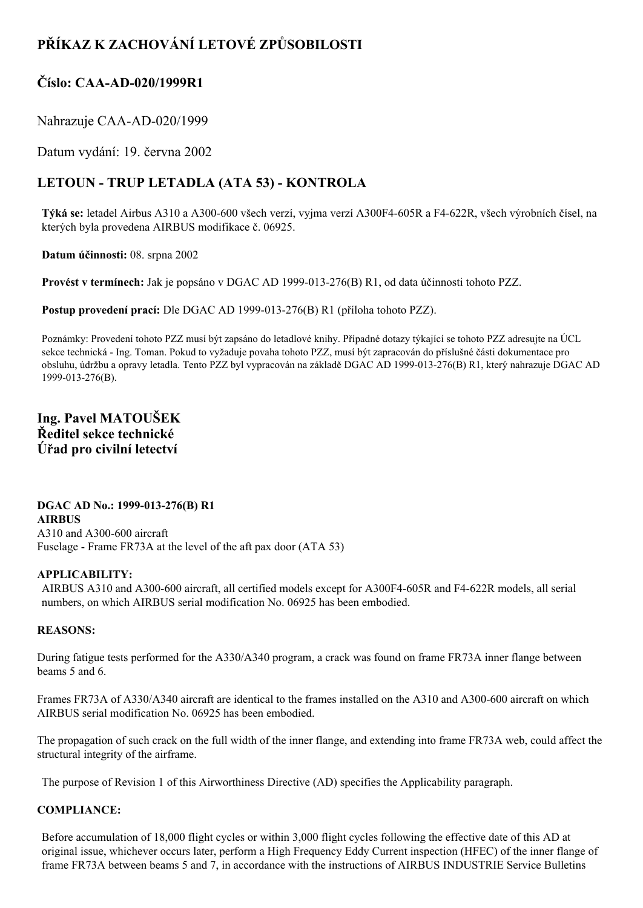# **PŘÍKAZ K ZACHOVÁNÍ LETOVÉ ZPŮSOBILOSTI**

## **Číslo: CAAAD020/1999R1**

Nahrazuje CAA-AD-020/1999

Datum vydání: 19. června 2002

## **LETOUN TRUP LETADLA (ATA 53) KONTROLA**

**Týká se:** letadel Airbus A310 a A300-600 všech verzí, vyjma verzí A300F4-605R a F4-622R, všech výrobních čísel, na kterých byla provedena AIRBUS modifikace č. 06925.

**Datum účinnosti:** 08. srpna 2002

**Provést v termínech:** Jak je popsáno v DGAC AD 1999-013-276(B) R1, od data účinnosti tohoto PZZ.

**Postup provedení prací:** Dle DGAC AD 1999-013-276(B) R1 (příloha tohoto PZZ).

Poznámky: Provedení tohoto PZZ musí být zapsáno do letadlové knihy. Případné dotazy týkající se tohoto PZZ adresujte na ÚCL sekce technická - Ing. Toman. Pokud to vyžaduje povaha tohoto PZZ, musí být zapracován do příslušné části dokumentace pro obsluhu, údržbu a opravy letadla. Tento PZZ byl vypracován na základě DGAC AD 1999-013-276(B) R1, který nahrazuje DGAC AD 1999-013-276(B).

### **Ing. Pavel MATOUŠEK Ředitel sekce technické Úřad pro civilní letectví**

**DGAC AD No.: 1999-013-276(B) R1 AIRBUS** A310 and A300-600 aircraft Fuselage - Frame FR73A at the level of the aft pax door (ATA 53)

#### **APPLICABILITY:**

AIRBUS A310 and A300-600 aircraft, all certified models except for A300F4-605R and F4-622R models, all serial numbers, on which AIRBUS serial modification No. 06925 has been embodied.

#### **REASONS:**

During fatigue tests performed for the A330/A340 program, a crack was found on frame FR73A inner flange between beams 5 and 6.

Frames FR73A of A330/A340 aircraft are identical to the frames installed on the A310 and A300-600 aircraft on which AIRBUS serial modification No. 06925 has been embodied.

The propagation of such crack on the full width of the inner flange, and extending into frame FR73A web, could affect the structural integrity of the airframe.

The purpose of Revision 1 of this Airworthiness Directive (AD) specifies the Applicability paragraph.

### **COMPLIANCE:**

Before accumulation of 18,000 flight cycles or within 3,000 flight cycles following the effective date of this AD at original issue, whichever occurs later, perform a High Frequency Eddy Current inspection (HFEC) of the inner flange of frame FR73A between beams 5 and 7, in accordance with the instructions of AIRBUS INDUSTRIE Service Bulletins